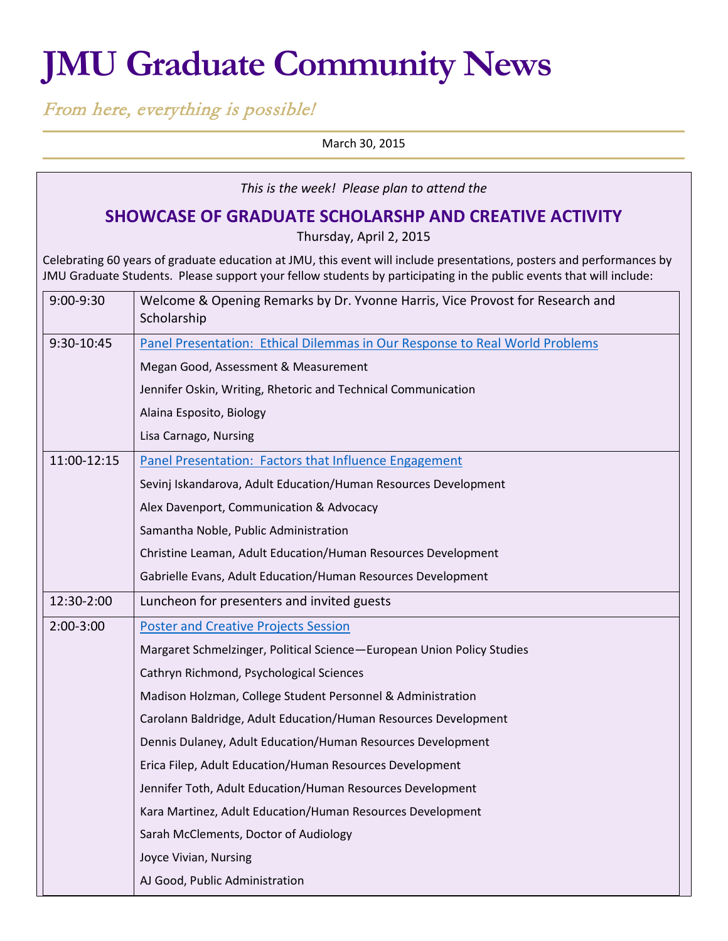# **JMU Graduate Community News**

From here, everything is possible!

March 30, 2015

| This is the week! Please plan to attend the                                                                                                                                                                                                  |                                                                                              |  |  |  |
|----------------------------------------------------------------------------------------------------------------------------------------------------------------------------------------------------------------------------------------------|----------------------------------------------------------------------------------------------|--|--|--|
| SHOWCASE OF GRADUATE SCHOLARSHP AND CREATIVE ACTIVITY<br>Thursday, April 2, 2015                                                                                                                                                             |                                                                                              |  |  |  |
| Celebrating 60 years of graduate education at JMU, this event will include presentations, posters and performances by<br>JMU Graduate Students. Please support your fellow students by participating in the public events that will include: |                                                                                              |  |  |  |
| 9:00-9:30                                                                                                                                                                                                                                    | Welcome & Opening Remarks by Dr. Yvonne Harris, Vice Provost for Research and<br>Scholarship |  |  |  |
| 9:30-10:45                                                                                                                                                                                                                                   | Panel Presentation: Ethical Dilemmas in Our Response to Real World Problems                  |  |  |  |
|                                                                                                                                                                                                                                              | Megan Good, Assessment & Measurement                                                         |  |  |  |
|                                                                                                                                                                                                                                              | Jennifer Oskin, Writing, Rhetoric and Technical Communication                                |  |  |  |
|                                                                                                                                                                                                                                              | Alaina Esposito, Biology                                                                     |  |  |  |
|                                                                                                                                                                                                                                              | Lisa Carnago, Nursing                                                                        |  |  |  |
| 11:00-12:15                                                                                                                                                                                                                                  | Panel Presentation: Factors that Influence Engagement                                        |  |  |  |
|                                                                                                                                                                                                                                              | Sevinj Iskandarova, Adult Education/Human Resources Development                              |  |  |  |
|                                                                                                                                                                                                                                              | Alex Davenport, Communication & Advocacy                                                     |  |  |  |
|                                                                                                                                                                                                                                              | Samantha Noble, Public Administration                                                        |  |  |  |
|                                                                                                                                                                                                                                              | Christine Leaman, Adult Education/Human Resources Development                                |  |  |  |
|                                                                                                                                                                                                                                              | Gabrielle Evans, Adult Education/Human Resources Development                                 |  |  |  |
| 12:30-2:00                                                                                                                                                                                                                                   | Luncheon for presenters and invited guests                                                   |  |  |  |
| $2:00-3:00$                                                                                                                                                                                                                                  | <b>Poster and Creative Projects Session</b>                                                  |  |  |  |
|                                                                                                                                                                                                                                              | Margaret Schmelzinger, Political Science-European Union Policy Studies                       |  |  |  |
|                                                                                                                                                                                                                                              | Cathryn Richmond, Psychological Sciences                                                     |  |  |  |
|                                                                                                                                                                                                                                              | Madison Holzman, College Student Personnel & Administration                                  |  |  |  |
|                                                                                                                                                                                                                                              | Carolann Baldridge, Adult Education/Human Resources Development                              |  |  |  |
|                                                                                                                                                                                                                                              | Dennis Dulaney, Adult Education/Human Resources Development                                  |  |  |  |
|                                                                                                                                                                                                                                              | Erica Filep, Adult Education/Human Resources Development                                     |  |  |  |
|                                                                                                                                                                                                                                              | Jennifer Toth, Adult Education/Human Resources Development                                   |  |  |  |
|                                                                                                                                                                                                                                              | Kara Martinez, Adult Education/Human Resources Development                                   |  |  |  |
|                                                                                                                                                                                                                                              | Sarah McClements, Doctor of Audiology                                                        |  |  |  |
|                                                                                                                                                                                                                                              | Joyce Vivian, Nursing                                                                        |  |  |  |
|                                                                                                                                                                                                                                              | AJ Good, Public Administration                                                               |  |  |  |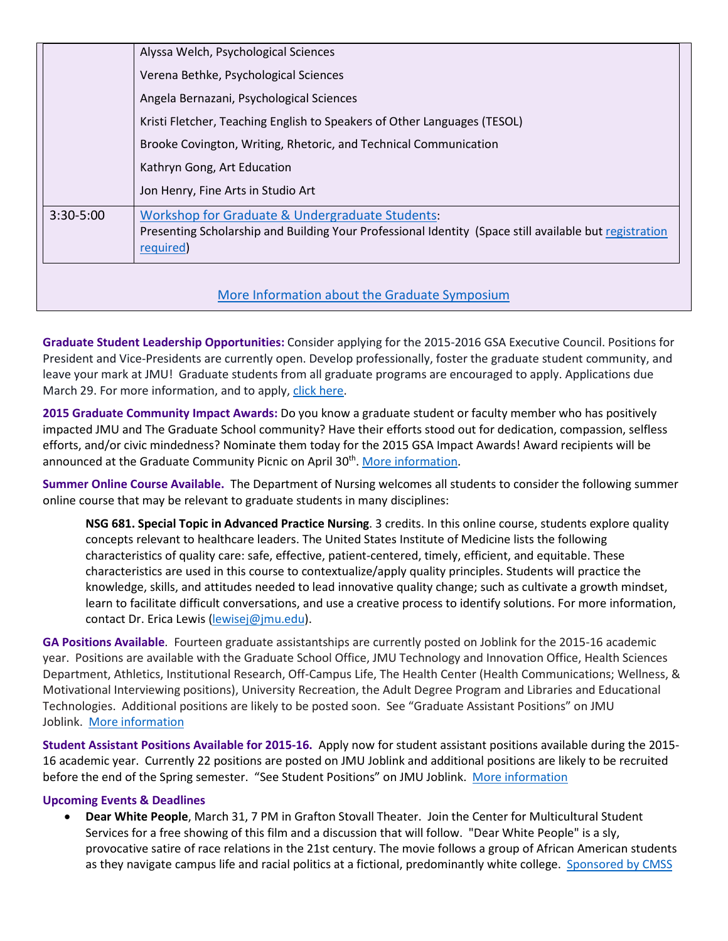|                                               | Alyssa Welch, Psychological Sciences                                                                                                                                   |  |  |  |
|-----------------------------------------------|------------------------------------------------------------------------------------------------------------------------------------------------------------------------|--|--|--|
| Verena Bethke, Psychological Sciences         |                                                                                                                                                                        |  |  |  |
|                                               | Angela Bernazani, Psychological Sciences                                                                                                                               |  |  |  |
|                                               | Kristi Fletcher, Teaching English to Speakers of Other Languages (TESOL)                                                                                               |  |  |  |
|                                               | Brooke Covington, Writing, Rhetoric, and Technical Communication                                                                                                       |  |  |  |
|                                               | Kathryn Gong, Art Education                                                                                                                                            |  |  |  |
|                                               | Jon Henry, Fine Arts in Studio Art                                                                                                                                     |  |  |  |
| $3:30 - 5:00$                                 | Workshop for Graduate & Undergraduate Students:<br>Presenting Scholarship and Building Your Professional Identity (Space still available but registration<br>required) |  |  |  |
| More Information about the Graduate Symposium |                                                                                                                                                                        |  |  |  |

**Graduate Student Leadership Opportunities:** Consider applying for the 2015-2016 GSA Executive Council. Positions for President and Vice-Presidents are currently open. Develop professionally, foster the graduate student community, and leave your mark at JMU! Graduate students from all graduate programs are encouraged to apply. Applications due March 29. For more information, and to apply[, click here.](https://docs.google.com/document/d/1WosBVB95Mk3v-Cd50ELUA94qqbHL1s9jwMPld2eRha0/edit?pli=1)

**2015 Graduate Community Impact Awards:** Do you know a graduate student or faculty member who has positively impacte[d JMU](https://www.facebook.com/hashtag/jmu?source=feed_text&story_id=873068436047209) and The Graduate School community? Have their efforts stood out for dedication, compassion, selfless efforts, and/or civic mindedness? Nominate them today for the 2015 GSA Impact Awards! Award recipients will be announced at the Graduate Community Picnic on April 30<sup>th</sup>[. More information.](https://docs.google.com/forms/d/1ljnvPvKMJIMIgKSgjY67GKhbVVw4dwonQnlb1l3J_PY/viewform)

**Summer Online Course Available.** The Department of Nursing welcomes all students to consider the following summer online course that may be relevant to graduate students in many disciplines:

**NSG 681. Special Topic in Advanced Practice Nursing**. 3 credits. In this online course, students explore quality concepts relevant to healthcare leaders. The United States Institute of Medicine lists the following characteristics of quality care: safe, effective, patient-centered, timely, efficient, and equitable. These characteristics are used in this course to contextualize/apply quality principles. Students will practice the knowledge, skills, and attitudes needed to lead innovative quality change; such as cultivate a growth mindset, learn to facilitate difficult conversations, and use a creative process to identify solutions. For more information, contact Dr. Erica Lewis [\(lewisej@jmu.edu\)](mailto:lewisej@jmu.edu).

**GA Positions Available**. Fourteen graduate assistantships are currently posted on Joblink for the 2015-16 academic year. Positions are available with the Graduate School Office, JMU Technology and Innovation Office, Health Sciences Department, Athletics, Institutional Research, Off-Campus Life, The Health Center (Health Communications; Wellness, & Motivational Interviewing positions), University Recreation, the Adult Degree Program and Libraries and Educational Technologies. Additional positions are likely to be posted soon. See "Graduate Assistant Positions" on JMU Joblink. [More information](https://joblink.jmu.edu/)

**Student Assistant Positions Available for 2015-16.** Apply now for student assistant positions available during the 2015- 16 academic year. Currently 22 positions are posted on JMU Joblink and additional positions are likely to be recruited before the end of the Spring semester. "See Student Positions" on JMU Joblink. [More information](https://joblink.jmu.edu/)

# **Upcoming Events & Deadlines**

• **Dear White People**, March 31, 7 PM in Grafton Stovall Theater. Join the Center for Multicultural Student Services for a free showing of this film and a discussion that will follow. "Dear White People" is a sly, provocative satire of race relations in the 21st century. The movie follows a group of African American students as they navigate campus life and racial politics at a fictional, predominantly white college. [Sponsored by CMSS](https://www.jmu.edu/multicultural/)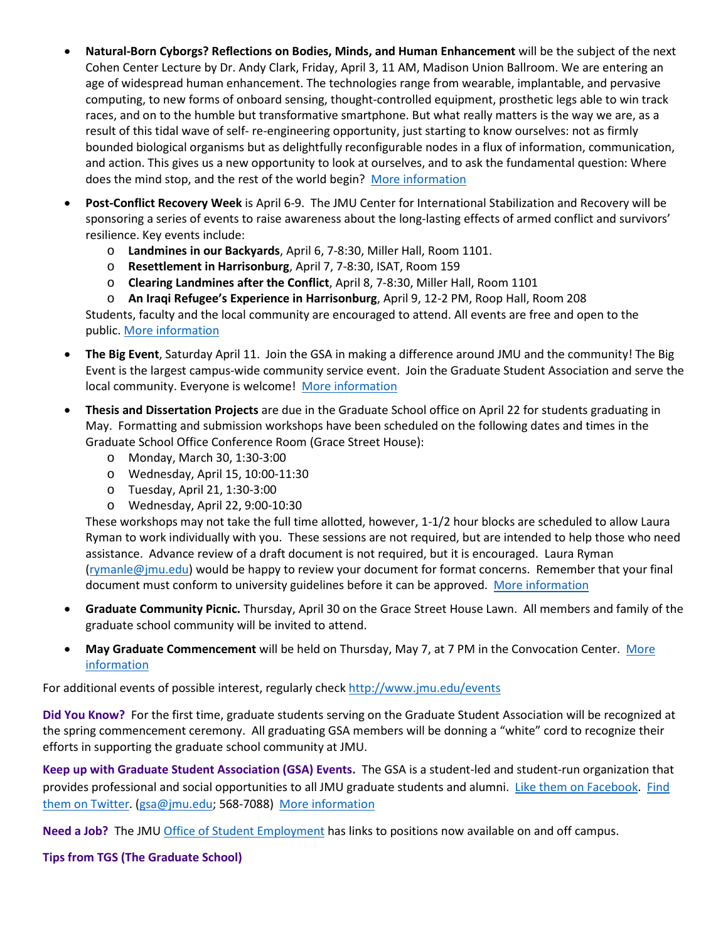- **Natural-Born Cyborgs? Reflections on Bodies, Minds, and Human Enhancement** will be the subject of the next Cohen Center Lecture by Dr. Andy Clark, Friday, April 3, 11 AM, Madison Union Ballroom. We are entering an age of widespread human enhancement. The technologies range from wearable, implantable, and pervasive computing, to new forms of onboard sensing, thought-controlled equipment, prosthetic legs able to win track races, and on to the humble but transformative smartphone. But what really matters is the way we are, as a result of this tidal wave of self- re-engineering opportunity, just starting to know ourselves: not as firmly bounded biological organisms but as delightfully reconfigurable nodes in a flux of information, communication, and action. This gives us a new opportunity to look at ourselves, and to ask the fundamental question: Where does the mind stop, and the rest of the world begin? [More information](http://www.jmu.edu/events/cohencenter/2015/04/03-andy-clark-lecture-april-3-madison-union-ballroom.shtml)
- **Post-Conflict Recovery Week** is April 6-9. The JMU Center for International Stabilization and Recovery will be sponsoring a series of events to raise awareness about the long-lasting effects of armed conflict and survivors' resilience. Key events include:
	- o **Landmines in our Backyards**, April 6, 7-8:30, Miller Hall, Room 1101.
	- o **Resettlement in Harrisonburg**, April 7, 7-8:30, ISAT, Room 159
	- o **Clearing Landmines after the Conflict**, April 8, 7-8:30, Miller Hall, Room 1101

o **An Iraqi Refugee's Experience in Harrisonburg**, April 9, 12-2 PM, Roop Hall, Room 208 Students, faculty and the local community are encouraged to attend. All events are free and open to the public. [More information](http://www.jmu.edu/cisr/_pages/other/pcrw.shtml)

- **The Big Event**, Saturday April 11. Join the GSA in making a difference around JMU and the community! The Big Event is the largest campus-wide community service event. Join the Graduate Student Association and serve the local community. Everyone is welcome! [More information](http://jmugsa.blogspot.com/2015/03/big-event-join-gsa-team.html%23!/2015/03/big-event-join-gsa-team.html)
- **Thesis and Dissertation Projects** are due in the Graduate School office on April 22 for students graduating in May. Formatting and submission workshops have been scheduled on the following dates and times in the Graduate School Office Conference Room (Grace Street House):
	- o Monday, March 30, 1:30-3:00
	- o Wednesday, April 15, 10:00-11:30
	- o Tuesday, April 21, 1:30-3:00
	- o Wednesday, April 22, 9:00-10:30

These workshops may not take the full time allotted, however, 1-1/2 hour blocks are scheduled to allow Laura Ryman to work individually with you. These sessions are not required, but are intended to help those who need assistance. Advance review of a draft document is not required, but it is encouraged. Laura Ryman [\(rymanle@jmu.edu\)](mailto:rymanle@jmu.edu) would be happy to review your document for format concerns. Remember that your final document must conform to university guidelines before it can be approved. [More information](http://www.jmu.edu/grad/current-students/thesis-dissertation/information.shtml)

- **Graduate Community Picnic.** Thursday, April 30 on the Grace Street House Lawn. All members and family of the graduate school community will be invited to attend.
- **May Graduate Commencement** will be held on Thursday, May 7, at 7 PM in the Convocation Center. [More](http://www.jmu.edu/commencement/)  [information](http://www.jmu.edu/commencement/)

For additional events of possible interest, regularly check<http://www.jmu.edu/events>

**Did You Know?** For the first time, graduate students serving on the Graduate Student Association will be recognized at the spring commencement ceremony. All graduating GSA members will be donning a "white" cord to recognize their efforts in supporting the graduate school community at JMU.

**Keep up with Graduate Student Association (GSA) Events.** The GSA is a student-led and student-run organization that provides professional and social opportunities to all JMU graduate students and alumni. [Like them on Facebook.](https://www.facebook.com/JMUGSA?fref=ts) Find [them on Twitter.](https://twitter.com/JMUGSA) [\(gsa@jmu.edu;](mailto:gsa@jmu.edu) 568-7088) [More information](http://www.jmu.edu/grad/gsa/index.shtml)

**Need a Job?** The JM[U Office of Student Employment](http://www.jmu.edu/stuemploy/) has links to positions now available on and off campus.

# **Tips from TGS (The Graduate School)**